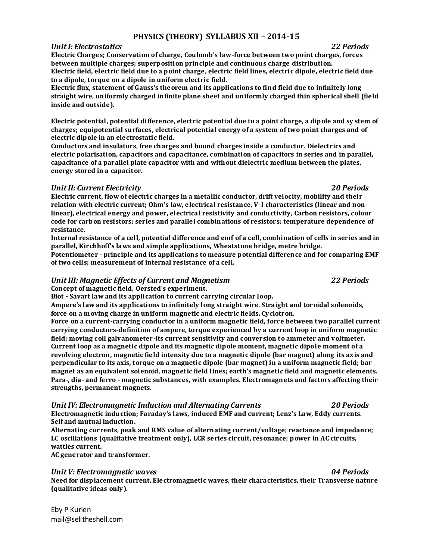# **PHYSICS (THEORY) SYLLABUS XII – 2014-15**

### *Unit I: Electrostatics 22 Periods*

**Electric Charges; Conservation of charge, Coulomb's law-force between two point charges, forces between multiple charges; superposition principle and continuous charge distribution. Electric field, electric field due to a point charge, electric field lines, electric dipole, electric field due to a dipole, torque on a dipole in uniform electric field.**

**Electric flux, statement of Gauss's theorem and its applications to find field due to infinitely long straight wire, uniformly charged infinite plane sheet and uniformly charged thin spherical shell (field inside and outside).**

**Electric potential, potential difference, electric potential due to a point charge, a dipole and sy stem of charges; equipotential surfaces, electrical potential energy of a system of two point charges and of electric dipole in an electrostatic field.**

**Conductors and insulators, free charges and bound charges inside a conductor. Dielectrics and electric polarisation, capacitors and capacitance, combination of capacitors in series and in parallel, capacitance of a parallel plate capacitor with and without dielectric medium between the plates, energy stored in a capacitor.**

### *Unit II: Current Electricity 20 Periods*

**Electric current, flow of electric charges in a metallic conductor, drift velocity, mobility and their relation with electric current; Ohm's law, electrical resistance, V-I characteristics (linear and nonlinear), electrical energy and power, electrical resistivity and conductivity, Carbon resistors, colour code for carbon resistors; series and parallel combinations of resistors; temperature dependence of resistance.**

**Internal resistance of a cell, potential difference and emf of a cell, combination of cells in series and in parallel, Kirchhoff's laws and simple applications, Wheatstone bridge, metre bridge.**

**Potentiometer - principle and its applications to measure potential difference and for comparing EMF of two cells; measurement of internal resistance of a cell.**

### *Unit III: Magnetic Effects of Current and Magnetism 22 Periods* **Concept of magnetic field, Oersted's experiment.**

**Biot - Savart law and its application to current carrying circular loop.**

**Ampere's law and its applications to infinitely long straight wire. Straight and toroidal solenoids, force on a moving charge in uniform magnetic and electric fields, Cyclotron.**

**Force on a current-carrying conductor in a uniform magnetic field, force between two parallel current carrying conductors-definition of ampere, torque experienced by a current loop in uniform magnetic field; moving coil galvanometer -its current sensitivity and conversion to ammeter and voltmeter. Current loop as a magnetic dipole and its magnetic dipole moment, magnetic dipole moment of a revolving electron, magnetic field intensity due to a magnetic dipole (bar magnet) along its axis and perpendicular to its axis, torque on a magnetic dipole (bar magnet) in a uniform magnetic field; bar magnet as an equivalent solenoid, magnetic field lines; earth's magnetic field and magnetic elements. Para-, dia- and ferro - magnetic substances, with examples. Electromagnets and factors affecting their strengths, permanent magnets.**

### *Unit IV: Electromagnetic Induction and Alternating Currents 20 Periods*

**Electromagnetic induction; Faraday's laws, induced EMF and current; Lenz's Law, Eddy currents. Self and mutual induction.**

**Alternating currents, peak and RMS value of alternating current/voltage; reactance and impedance; LC oscillations (qualitative treatment only), LCR series circuit, resonance; power in AC circuits, wattles current.**

**AC generator and transformer.**

### *Unit V: Electromagnetic waves 04 Periods*

**Need for displacement current, Electromagnetic waves, their characteristics, their Transverse nature (qualitative ideas only).**

Eby P Kurien mail@selltheshell.com